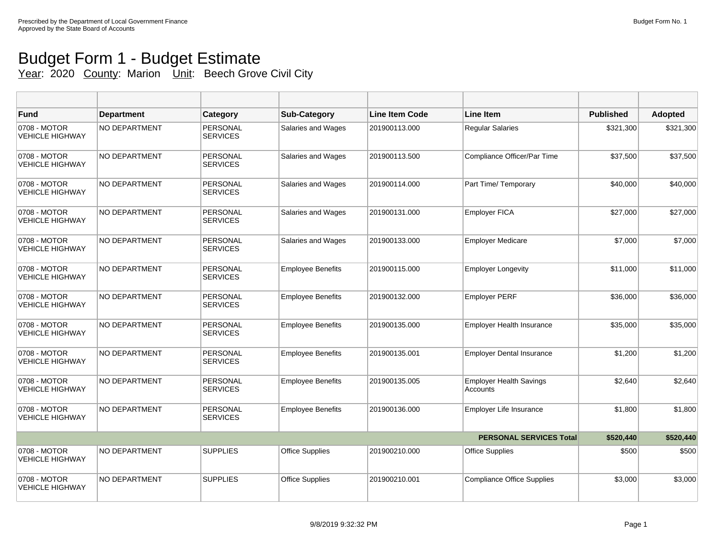## Budget Form 1 - Budget Estimate Year: 2020 County: Marion Unit: Beech Grove Civil City

| <b>Fund</b>                            | <b>Department</b>    | <b>Category</b>             | <b>Sub-Category</b>      | <b>Line Item Code</b> | <b>Line Item</b>                           | <b>Published</b> | <b>Adopted</b> |
|----------------------------------------|----------------------|-----------------------------|--------------------------|-----------------------|--------------------------------------------|------------------|----------------|
| 0708 - MOTOR<br><b>VEHICLE HIGHWAY</b> | NO DEPARTMENT        | PERSONAL<br><b>SERVICES</b> | Salaries and Wages       | 201900113.000         | <b>Regular Salaries</b>                    | \$321,300        | \$321,300      |
| 0708 - MOTOR<br><b>VEHICLE HIGHWAY</b> | NO DEPARTMENT        | PERSONAL<br><b>SERVICES</b> | Salaries and Wages       | 201900113.500         | Compliance Officer/Par Time                | \$37,500         | \$37,500       |
| 0708 - MOTOR<br><b>VEHICLE HIGHWAY</b> | NO DEPARTMENT        | PERSONAL<br><b>SERVICES</b> | Salaries and Wages       | 201900114.000         | Part Time/ Temporary                       | \$40,000         | \$40,000       |
| 0708 - MOTOR<br><b>VEHICLE HIGHWAY</b> | NO DEPARTMENT        | PERSONAL<br><b>SERVICES</b> | Salaries and Wages       | 201900131.000         | <b>Employer FICA</b>                       | \$27,000         | \$27,000       |
| 0708 - MOTOR<br><b>VEHICLE HIGHWAY</b> | NO DEPARTMENT        | PERSONAL<br><b>SERVICES</b> | Salaries and Wages       | 201900133.000         | <b>Employer Medicare</b>                   | \$7,000          | \$7,000        |
| 0708 - MOTOR<br><b>VEHICLE HIGHWAY</b> | NO DEPARTMENT        | PERSONAL<br><b>SERVICES</b> | <b>Employee Benefits</b> | 201900115.000         | <b>Employer Longevity</b>                  | \$11,000         | \$11,000       |
| 0708 - MOTOR<br><b>VEHICLE HIGHWAY</b> | <b>NO DEPARTMENT</b> | PERSONAL<br><b>SERVICES</b> | <b>Employee Benefits</b> | 201900132.000         | <b>Employer PERF</b>                       | \$36,000         | \$36,000       |
| 0708 - MOTOR<br><b>VEHICLE HIGHWAY</b> | <b>NO DEPARTMENT</b> | PERSONAL<br><b>SERVICES</b> | <b>Employee Benefits</b> | 201900135.000         | Employer Health Insurance                  | \$35,000         | \$35,000       |
| 0708 - MOTOR<br><b>VEHICLE HIGHWAY</b> | NO DEPARTMENT        | PERSONAL<br><b>SERVICES</b> | <b>Employee Benefits</b> | 201900135.001         | <b>Employer Dental Insurance</b>           | \$1,200          | \$1,200        |
| 0708 - MOTOR<br><b>VEHICLE HIGHWAY</b> | <b>NO DEPARTMENT</b> | PERSONAL<br><b>SERVICES</b> | <b>Employee Benefits</b> | 201900135.005         | <b>Employer Health Savings</b><br>Accounts | \$2,640          | \$2,640        |
| 0708 - MOTOR<br><b>VEHICLE HIGHWAY</b> | NO DEPARTMENT        | PERSONAL<br><b>SERVICES</b> | <b>Employee Benefits</b> | 201900136.000         | Employer Life Insurance                    | \$1,800          | \$1,800        |
|                                        |                      |                             |                          |                       | <b>PERSONAL SERVICES Total</b>             | \$520,440        | \$520,440      |
| 0708 - MOTOR<br><b>VEHICLE HIGHWAY</b> | <b>NO DEPARTMENT</b> | <b>SUPPLIES</b>             | <b>Office Supplies</b>   | 201900210.000         | <b>Office Supplies</b>                     | \$500            | \$500          |
| 0708 - MOTOR<br><b>VEHICLE HIGHWAY</b> | NO DEPARTMENT        | <b>SUPPLIES</b>             | <b>Office Supplies</b>   | 201900210.001         | <b>Compliance Office Supplies</b>          | \$3,000          | \$3,000        |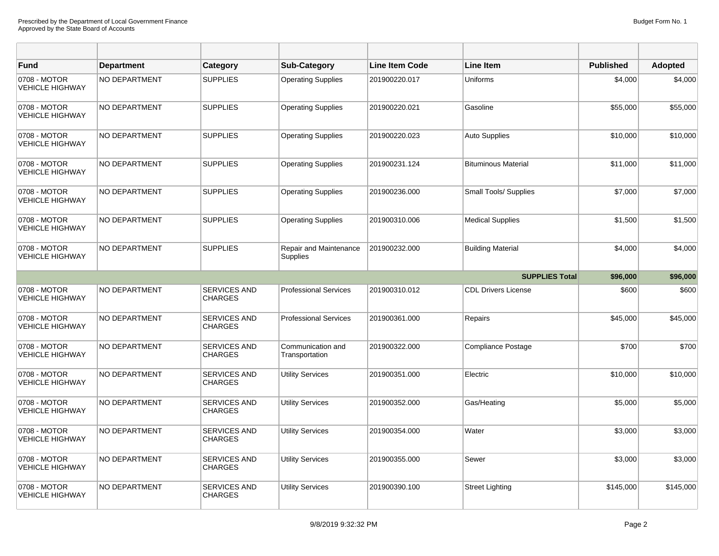| <b>Fund</b>                            | <b>Department</b>    | Category                              | <b>Sub-Category</b>                 | <b>Line Item Code</b> | <b>Line Item</b>           | <b>Published</b> | <b>Adopted</b> |
|----------------------------------------|----------------------|---------------------------------------|-------------------------------------|-----------------------|----------------------------|------------------|----------------|
| 0708 - MOTOR<br><b>VEHICLE HIGHWAY</b> | NO DEPARTMENT        | <b>SUPPLIES</b>                       | <b>Operating Supplies</b>           | 201900220.017         | Uniforms                   | \$4,000          | \$4,000        |
| 0708 - MOTOR<br><b>VEHICLE HIGHWAY</b> | NO DEPARTMENT        | <b>SUPPLIES</b>                       | <b>Operating Supplies</b>           | 201900220.021         | Gasoline                   | \$55,000         | \$55,000       |
| 0708 - MOTOR<br><b>VEHICLE HIGHWAY</b> | NO DEPARTMENT        | <b>SUPPLIES</b>                       | <b>Operating Supplies</b>           | 201900220.023         | <b>Auto Supplies</b>       | \$10,000         | \$10,000       |
| 0708 - MOTOR<br><b>VEHICLE HIGHWAY</b> | NO DEPARTMENT        | <b>SUPPLIES</b>                       | <b>Operating Supplies</b>           | 201900231.124         | <b>Bituminous Material</b> | \$11,000         | \$11,000       |
| 0708 - MOTOR<br><b>VEHICLE HIGHWAY</b> | NO DEPARTMENT        | <b>SUPPLIES</b>                       | <b>Operating Supplies</b>           | 201900236.000         | Small Tools/ Supplies      | \$7,000          | \$7,000        |
| 0708 - MOTOR<br><b>VEHICLE HIGHWAY</b> | NO DEPARTMENT        | <b>SUPPLIES</b>                       | <b>Operating Supplies</b>           | 201900310.006         | <b>Medical Supplies</b>    | \$1,500          | \$1,500        |
| 0708 - MOTOR<br><b>VEHICLE HIGHWAY</b> | NO DEPARTMENT        | <b>SUPPLIES</b>                       | Repair and Maintenance<br>Supplies  | 201900232.000         | <b>Building Material</b>   | \$4,000          | \$4,000        |
|                                        |                      |                                       |                                     |                       | <b>SUPPLIES Total</b>      | \$96,000         | \$96,000       |
| 0708 - MOTOR<br><b>VEHICLE HIGHWAY</b> | <b>NO DEPARTMENT</b> | <b>SERVICES AND</b><br><b>CHARGES</b> | <b>Professional Services</b>        | 201900310.012         | <b>CDL Drivers License</b> | \$600            | \$600          |
| 0708 - MOTOR<br><b>VEHICLE HIGHWAY</b> | NO DEPARTMENT        | <b>SERVICES AND</b><br><b>CHARGES</b> | <b>Professional Services</b>        | 201900361.000         | Repairs                    | \$45,000         | \$45,000       |
| 0708 - MOTOR<br><b>VEHICLE HIGHWAY</b> | NO DEPARTMENT        | <b>SERVICES AND</b><br><b>CHARGES</b> | Communication and<br>Transportation | 201900322.000         | <b>Compliance Postage</b>  | \$700            | \$700          |
| 0708 - MOTOR<br><b>VEHICLE HIGHWAY</b> | NO DEPARTMENT        | <b>SERVICES AND</b><br><b>CHARGES</b> | <b>Utility Services</b>             | 201900351.000         | Electric                   | \$10,000         | \$10,000       |
| 0708 - MOTOR<br><b>VEHICLE HIGHWAY</b> | NO DEPARTMENT        | SERVICES AND<br><b>CHARGES</b>        | <b>Utility Services</b>             | 201900352.000         | Gas/Heating                | \$5,000          | \$5,000        |
| 0708 - MOTOR<br><b>VEHICLE HIGHWAY</b> | NO DEPARTMENT        | SERVICES AND<br><b>CHARGES</b>        | <b>Utility Services</b>             | 201900354.000         | Water                      | \$3,000          | \$3,000        |
| 0708 - MOTOR<br><b>VEHICLE HIGHWAY</b> | NO DEPARTMENT        | SERVICES AND<br><b>CHARGES</b>        | <b>Utility Services</b>             | 201900355.000         | Sewer                      | \$3,000          | \$3,000        |
| 0708 - MOTOR<br><b>VEHICLE HIGHWAY</b> | <b>NO DEPARTMENT</b> | <b>SERVICES AND</b><br><b>CHARGES</b> | <b>Utility Services</b>             | 201900390.100         | <b>Street Lighting</b>     | \$145,000        | \$145,000      |